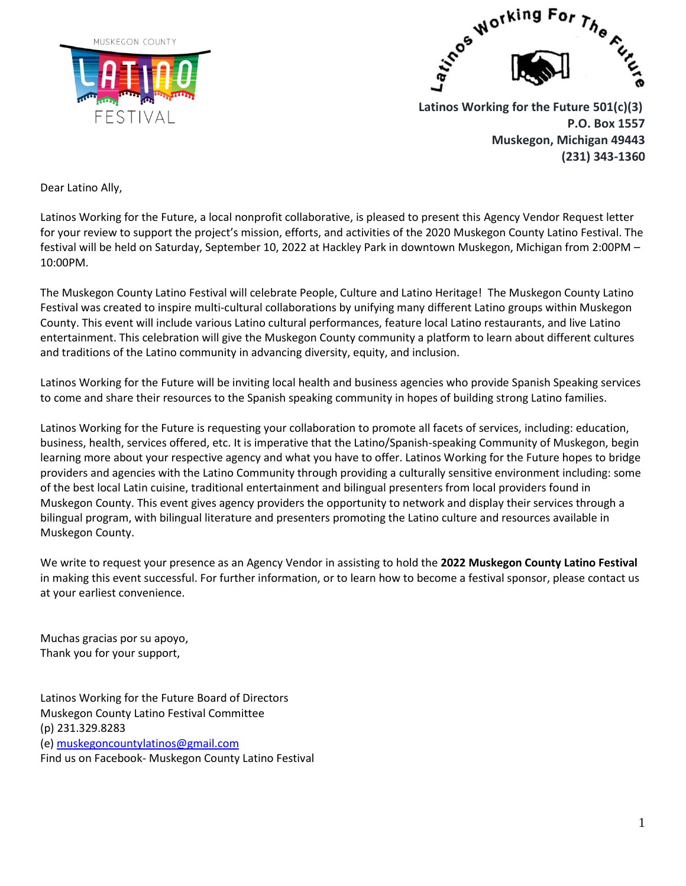



 **Latinos Working for the Future 501(c)(3) P.O. Box 1557 Muskegon, Michigan 49443 (231) 343-1360**

Dear Latino Ally,

Latinos Working for the Future, a local nonprofit collaborative, is pleased to present this Agency Vendor Request letter for your review to support the project's mission, efforts, and activities of the 2020 Muskegon County Latino Festival. The festival will be held on Saturday, September 10, 2022 at Hackley Park in downtown Muskegon, Michigan from 2:00PM – 10:00PM.

The Muskegon County Latino Festival will celebrate People, Culture and Latino Heritage! The Muskegon County Latino Festival was created to inspire multi-cultural collaborations by unifying many different Latino groups within Muskegon County. This event will include various Latino cultural performances, feature local Latino restaurants, and live Latino entertainment. This celebration will give the Muskegon County community a platform to learn about different cultures and traditions of the Latino community in advancing diversity, equity, and inclusion.

Latinos Working for the Future will be inviting local health and business agencies who provide Spanish Speaking services to come and share their resources to the Spanish speaking community in hopes of building strong Latino families.

Latinos Working for the Future is requesting your collaboration to promote all facets of services, including: education, business, health, services offered, etc. It is imperative that the Latino/Spanish-speaking Community of Muskegon, begin learning more about your respective agency and what you have to offer. Latinos Working for the Future hopes to bridge providers and agencies with the Latino Community through providing a culturally sensitive environment including: some of the best local Latin cuisine, traditional entertainment and bilingual presenters from local providers found in Muskegon County. This event gives agency providers the opportunity to network and display their services through a bilingual program, with bilingual literature and presenters promoting the Latino culture and resources available in Muskegon County.

We write to request your presence as an Agency Vendor in assisting to hold the **2022 Muskegon County Latino Festival** in making this event successful. For further information, or to learn how to become a festival sponsor, please contact us at your earliest convenience.

Muchas gracias por su apoyo, Thank you for your support,

Latinos Working for the Future Board of Directors Muskegon County Latino Festival Committee (p) 231.329.8283 (e[\) muskegoncountylatinos@gmail.com](mailto:muskegoncountylatinos@gmail.com) Find us on Facebook- Muskegon County Latino Festival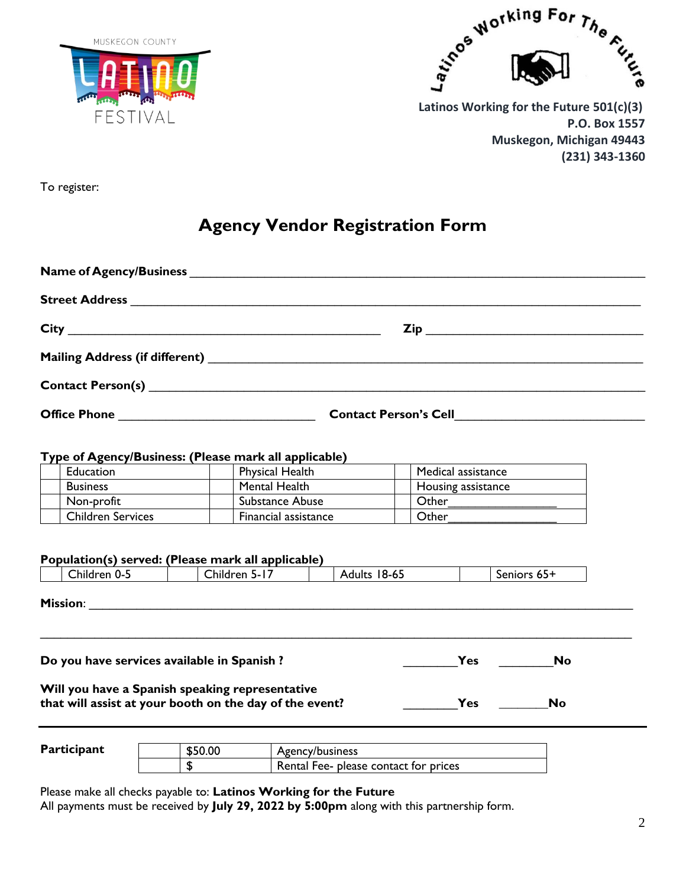



 **Latinos Working for the Future 501(c)(3) P.O. Box 1557 Muskegon, Michigan 49443 (231) 343-1360**

To register:

## **Agency Vendor Registration Form**

|             | Type of Agency/Business: (Please mark all applicable)                                                      |  |                 |                      |                 |              |                    |                    |     |             |  |
|-------------|------------------------------------------------------------------------------------------------------------|--|-----------------|----------------------|-----------------|--------------|--------------------|--------------------|-----|-------------|--|
|             | Education                                                                                                  |  | Physical Health |                      |                 |              | Medical assistance |                    |     |             |  |
|             | <b>Business</b>                                                                                            |  |                 | Mental Health        |                 |              |                    | Housing assistance |     |             |  |
|             | Non-profit                                                                                                 |  |                 | Substance Abuse      |                 |              |                    |                    |     |             |  |
|             | <b>Children Services</b>                                                                                   |  |                 | Financial assistance |                 |              |                    | Other              |     |             |  |
|             | Population(s) served: (Please mark all applicable)<br>Children 0-5                                         |  |                 | Children 5-17        |                 | Adults 18-65 |                    |                    |     | Seniors 65+ |  |
|             |                                                                                                            |  |                 |                      |                 |              |                    |                    |     |             |  |
|             | Do you have services available in Spanish ?                                                                |  |                 |                      |                 |              |                    |                    | Yes | <b>No</b>   |  |
|             | Will you have a Spanish speaking representative<br>that will assist at your booth on the day of the event? |  |                 |                      |                 |              |                    |                    | Yes | No          |  |
| Participant |                                                                                                            |  | \$50.00         |                      | Agency/business |              |                    |                    |     |             |  |

\$ Rental Fee- please contact for prices

Please make all checks payable to: **Latinos Working for the Future** All payments must be received by **July 29, 2022 by 5:00pm** along with this partnership form.